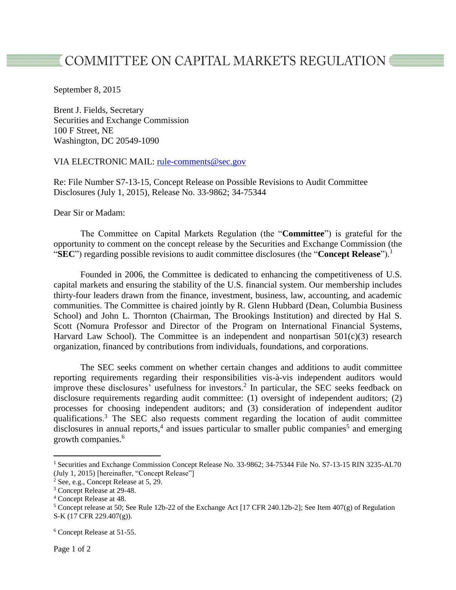## $\overline{\texttt{\$}}$  COMMITTEE ON CAPITAL MARKETS REGULATION  $\overline{\texttt{\$}}$

September 8, 2015

Brent J. Fields, Secretary Securities and Exchange Commission 100 F Street, NE Washington, DC 20549-1090

## VIA ELECTRONIC MAIL: [rule-comments@sec.gov](mailto:rule-comments@sec.gov)

Re: File Number S7-13-15, Concept Release on Possible Revisions to Audit Committee Disclosures (July 1, 2015), Release No. 33-9862; 34-75344

Dear Sir or Madam:

The Committee on Capital Markets Regulation (the "**Committee**") is grateful for the opportunity to comment on the concept release by the Securities and Exchange Commission (the "**SEC**") regarding possible revisions to audit committee disclosures (the "**Concept Release**"). 1

Founded in 2006, the Committee is dedicated to enhancing the competitiveness of U.S. capital markets and ensuring the stability of the U.S. financial system. Our membership includes thirty-four leaders drawn from the finance, investment, business, law, accounting, and academic communities. The Committee is chaired jointly by R. Glenn Hubbard (Dean, Columbia Business School) and John L. Thornton (Chairman, The Brookings Institution) and directed by Hal S. Scott (Nomura Professor and Director of the Program on International Financial Systems, Harvard Law School). The Committee is an independent and nonpartisan  $501(c)(3)$  research organization, financed by contributions from individuals, foundations, and corporations.

The SEC seeks comment on whether certain changes and additions to audit committee reporting requirements regarding their responsibilities vis-à-vis independent auditors would improve these disclosures' usefulness for investors.<sup>2</sup> In particular, the SEC seeks feedback on disclosure requirements regarding audit committee: (1) oversight of independent auditors; (2) processes for choosing independent auditors; and (3) consideration of independent auditor qualifications. <sup>3</sup> The SEC also requests comment regarding the location of audit committee disclosures in annual reports,<sup>4</sup> and issues particular to smaller public companies<sup>5</sup> and emerging growth companies. 6

l

<sup>1</sup> Securities and Exchange Commission Concept Release No. 33-9862; 34-75344 File No. S7-13-15 RIN 3235-AL70 (July 1, 2015) [hereinafter, "Concept Release"]

<sup>2</sup> See, e.g., Concept Release at 5, 29.

<sup>3</sup> Concept Release at 29-48.

<sup>4</sup> Concept Release at 48.

<sup>5</sup> Concept release at 50; See Rule 12b-22 of the Exchange Act [17 CFR 240.12b-2]; See Item 407(g) of Regulation S-K (17 CFR 229.407(g)).

<sup>6</sup> Concept Release at 51-55.